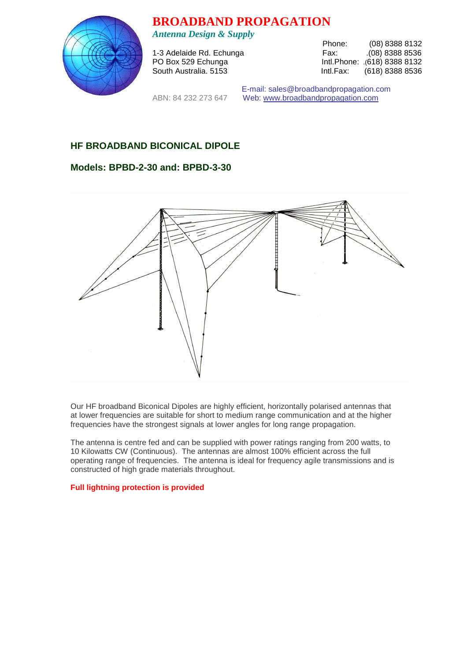

**BROADBAND PROPAGATION** 

*Antenna Design & Supply* 

1-3 Adelaide Rd. Echunga

Phone: (08) 8388 8132<br>Fax: .(08) 8388 8536 PO Box 529 Echunga Intl.Phone: .(618) 8388 8132 South Australia. 5153 **Intl.Fax:** (618) 8388 8536

 E-mail: sales@broadbandpropagation.com ABN: 84 232 273 647 Web: www.broadbandpropagation.com

## **HF BROADBAND BICONICAL DIPOLE**

## **Models: BPBD-2-30 and: BPBD-3-30**



Our HF broadband Biconical Dipoles are highly efficient, horizontally polarised antennas that at lower frequencies are suitable for short to medium range communication and at the higher frequencies have the strongest signals at lower angles for long range propagation.

The antenna is centre fed and can be supplied with power ratings ranging from 200 watts, to 10 Kilowatts CW (Continuous). The antennas are almost 100% efficient across the full operating range of frequencies. The antenna is ideal for frequency agile transmissions and is constructed of high grade materials throughout.

**Full lightning protection is provided**